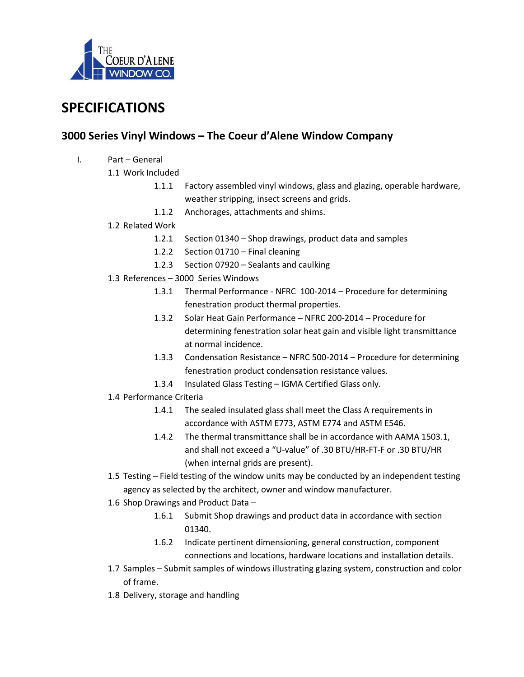

# **SPECIFICATIONS**

## **3000 Series Vinyl Windows – The Coeur d'Alene Window Company**

- I. Part General
	- 1.1 Work Included
		- 1.1.1 Factory assembled vinyl windows, glass and glazing, operable hardware, weather stripping, insect screens and grids.
		- 1.1.2 Anchorages, attachments and shims.
	- 1.2 Related Work
		- 1.2.1 Section 01340 Shop drawings, product data and samples
		- 1.2.2 Section 01710 Final cleaning
		- 1.2.3 Section 07920 Sealants and caulking
	- 1.3 References 3000 Series Windows
		- 1.3.1 Thermal Performance NFRC 100-2014 Procedure for determining fenestration product thermal properties.
		- 1.3.2 Solar Heat Gain Performance NFRC 200-2014 Procedure for determining fenestration solar heat gain and visible light transmittance at normal incidence.
		- 1.3.3 Condensation Resistance NFRC 500-2014 Procedure for determining fenestration product condensation resistance values.
		- 1.3.4 Insulated Glass Testing IGMA Certified Glass only.
	- 1.4 Performance Criteria
		- 1.4.1 The sealed insulated glass shall meet the Class A requirements in accordance with ASTM E773, ASTM E774 and ASTM E546.
		- 1.4.2 The thermal transmittance shall be in accordance with AAMA 1503.1, and shall not exceed a "U-value" of .30 BTU/HR-FT-F or .30 BTU/HR (when internal grids are present).
	- 1.5 Testing Field testing of the window units may be conducted by an independent testing agency as selected by the architect, owner and window manufacturer.
	- 1.6 Shop Drawings and Product Data
		- 1.6.1 Submit Shop drawings and product data in accordance with section 01340.
		- 1.6.2 Indicate pertinent dimensioning, general construction, component connections and locations, hardware locations and installation details.
	- 1.7 Samples Submit samples of windows illustrating glazing system, construction and color of frame.
	- 1.8 Delivery, storage and handling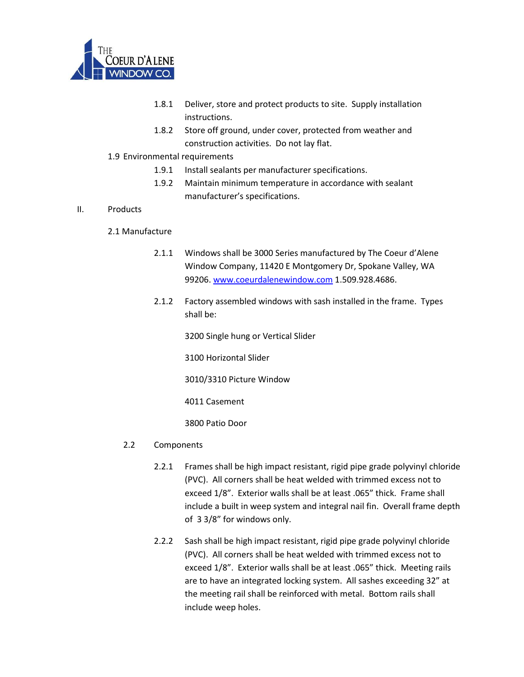

- 1.8.1 Deliver, store and protect products to site. Supply installation instructions.
- 1.8.2 Store off ground, under cover, protected from weather and construction activities. Do not lay flat.

#### 1.9 Environmental requirements

- 1.9.1 Install sealants per manufacturer specifications.
- 1.9.2 Maintain minimum temperature in accordance with sealant manufacturer's specifications.

#### II. Products

#### 2.1 Manufacture

- 2.1.1 Windows shall be 3000 Series manufactured by The Coeur d'Alene Window Company, 11420 E Montgomery Dr, Spokane Valley, WA 99206. [www.coeurdalenewindow.com](http://www.coeurdalenewindow.com/) 1.509.928.4686.
- 2.1.2 Factory assembled windows with sash installed in the frame. Types shall be:

3200 Single hung or Vertical Slider

3100 Horizontal Slider

3010/3310 Picture Window

4011 Casement

3800 Patio Door

### 2.2 Components

- 2.2.1 Frames shall be high impact resistant, rigid pipe grade polyvinyl chloride (PVC). All corners shall be heat welded with trimmed excess not to exceed 1/8". Exterior walls shall be at least .065" thick. Frame shall include a built in weep system and integral nail fin. Overall frame depth of 3 3/8" for windows only.
- 2.2.2 Sash shall be high impact resistant, rigid pipe grade polyvinyl chloride (PVC). All corners shall be heat welded with trimmed excess not to exceed 1/8". Exterior walls shall be at least .065" thick. Meeting rails are to have an integrated locking system. All sashes exceeding 32" at the meeting rail shall be reinforced with metal. Bottom rails shall include weep holes.